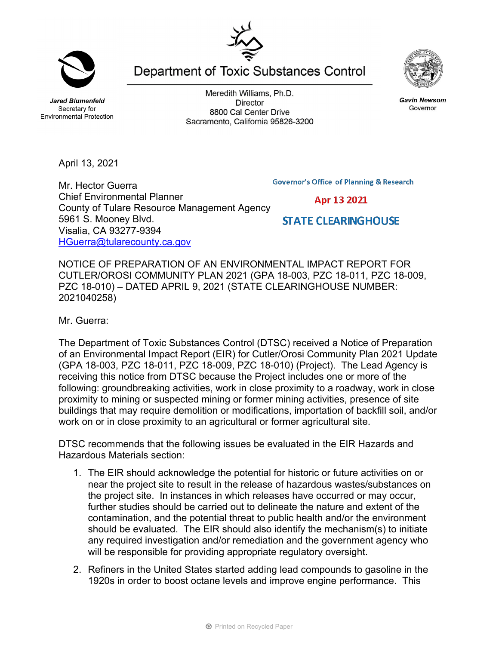**Jared Blumenfeld** Secretary for

Meredith Williams, Ph.D. **Director** 8800 Cal Center Drive Sacramento, California 95826-3200

Department of Toxic Substances Control



Mr. Hector Guerra Chief Environmental Planner County of Tulare Resource Management Agency 5961 S. Mooney Blvd. Visalia, CA 93277-9394 HGuerra@tularecounty.ca.gov

NOTICE OF PREPARATION OF AN ENVIRONMENTAL IMPACT REPORT FOR CUTLER/OROSI COMMUNITY PLAN 2021 (GPA 18-003, PZC 18-011, PZC 18-009, PZC 18-010) – DATED APRIL 9, 2021 (STATE CLEARINGHOUSE NUMBER: 2021040258)

Mr. Guerra:

The Department of Toxic Substances Control (DTSC) received a Notice of Preparation of an Environmental Impact Report (EIR) for Cutler/Orosi Community Plan 2021 Update (GPA 18-003, PZC 18-011, PZC 18-009, PZC 18-010) (Project). The Lead Agency is receiving this notice from DTSC because the Project includes one or more of the following: groundbreaking activities, work in close proximity to a roadway, work in close proximity to mining or suspected mining or former mining activities, presence of site buildings that may require demolition or modifications, importation of backfill soil, and/or work on or in close proximity to an agricultural or former agricultural site.

DTSC recommends that the following issues be evaluated in the EIR Hazards and Hazardous Materials section:

- 1. The EIR should acknowledge the potential for historic or future activities on or near the project site to result in the release of hazardous wastes/substances on the project site. In instances in which releases have occurred or may occur, further studies should be carried out to delineate the nature and extent of the contamination, and the potential threat to public health and/or the environment should be evaluated. The EIR should also identify the mechanism(s) to initiate any required investigation and/or remediation and the government agency who will be responsible for providing appropriate regulatory oversight.
- 2. Refiners in the United States started adding lead compounds to gasoline in the 1920s in order to boost octane levels and improve engine performance. This

**Gavin Newsom** Governor

**Governor's Office of Planning & Research** 



**STATE CLEARINGHOUSE** 



**Environmental Protection**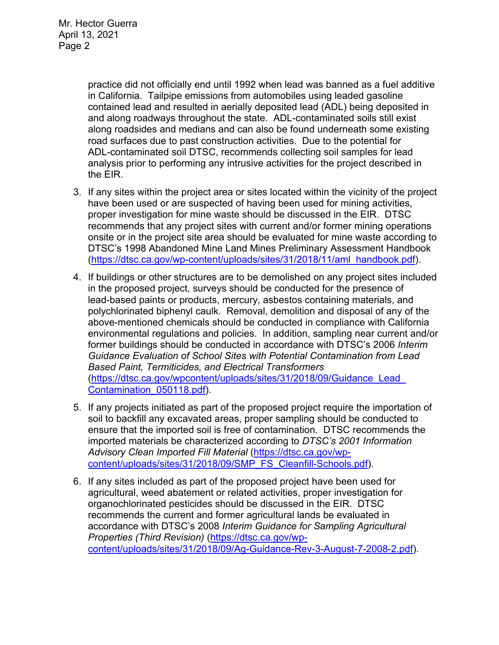practice did not officially end until 1992 when lead was banned as a fuel additive in California. Tailpipe emissions from automobiles using leaded gasoline contained lead and resulted in aerially deposited lead (ADL) being deposited in and along roadways throughout the state. ADL-contaminated soils still exist along roadsides and medians and can also be found underneath some existing road surfaces due to past construction activities. Due to the potential for ADL-contaminated soil DTSC, recommends collecting soil samples for lead analysis prior to performing any intrusive activities for the project described in the EIR.

- 3. If any sites within the project area or sites located within the vicinity of the project have been used or are suspected of having been used for mining activities, proper investigation for mine waste should be discussed in the EIR. DTSC recommends that any project sites with current and/or former mining operations onsite or in the project site area should be evaluated for mine waste according to DTSC's 1998 Abandoned Mine Land Mines Preliminary Assessment Handbook (https://dtsc.ca.gov/wp-content/uploads/sites/31/2018/11/aml\_handbook.pdf).
- 4. If buildings or other structures are to be demolished on any project sites included in the proposed project, surveys should be conducted for the presence of lead-based paints or products, mercury, asbestos containing materials, and polychlorinated biphenyl caulk. Removal, demolition and disposal of any of the above-mentioned chemicals should be conducted in compliance with California environmental regulations and policies. In addition, sampling near current and/or former buildings should be conducted in accordance with DTSC's 2006 *Interim Guidance Evaluation of School Sites with Potential Contamination from Lead Based Paint, Termiticides, and Electrical Transformers*  (https://dtsc.ca.gov/wpcontent/uploads/sites/31/2018/09/Guidance\_Lead\_ Contamination\_050118.pdf).
- 5. If any projects initiated as part of the proposed project require the importation of soil to backfill any excavated areas, proper sampling should be conducted to ensure that the imported soil is free of contamination. DTSC recommends the imported materials be characterized according to *DTSC's 2001 Information Advisory Clean Imported Fill Material* (https://dtsc.ca.gov/wpcontent/uploads/sites/31/2018/09/SMP\_FS\_Cleanfill-Schools.pdf).
- 6. If any sites included as part of the proposed project have been used for agricultural, weed abatement or related activities, proper investigation for organochlorinated pesticides should be discussed in the EIR. DTSC recommends the current and former agricultural lands be evaluated in accordance with DTSC's 2008 *Interim Guidance for Sampling Agricultural Properties (Third Revision)* (https://dtsc.ca.gov/wpcontent/uploads/sites/31/2018/09/Ag-Guidance-Rev-3-August-7-2008-2.pdf).